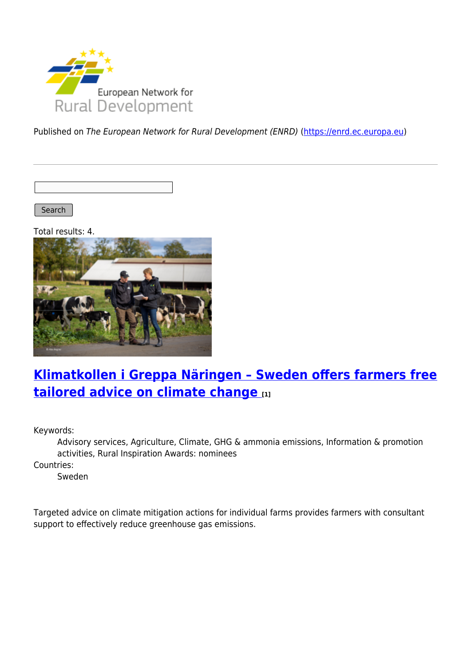

Published on The European Network for Rural Development (ENRD) [\(https://enrd.ec.europa.eu](https://enrd.ec.europa.eu))

Search

Total results: 4.



# **[Klimatkollen i Greppa Näringen – Sweden offers farmers free](https://enrd.ec.europa.eu/projects-practice/klimatkollen-i-greppa-naringen-sweden-offers-farmers-free-tailored-advice-climate_en) [tailored advice on climate change](https://enrd.ec.europa.eu/projects-practice/klimatkollen-i-greppa-naringen-sweden-offers-farmers-free-tailored-advice-climate_en) [1]**

Keywords:

Advisory services, Agriculture, Climate, GHG & ammonia emissions, Information & promotion activities, Rural Inspiration Awards: nominees

Countries:

Sweden

Targeted advice on climate mitigation actions for individual farms provides farmers with consultant support to effectively reduce greenhouse gas emissions.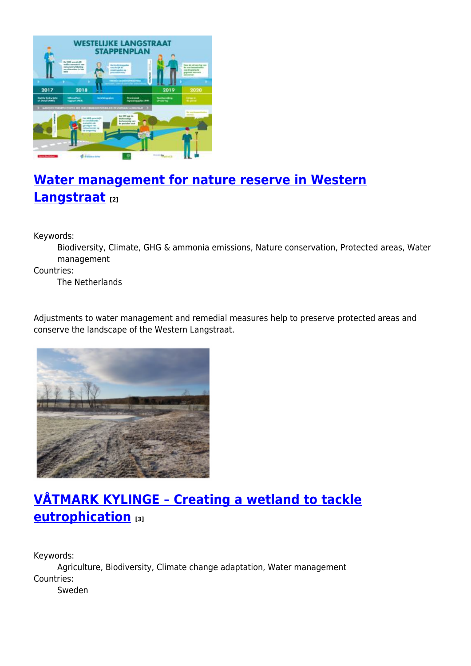

# **[Water management for nature reserve in Western](https://enrd.ec.europa.eu/projects-practice/water-management-nature-reserve-western-langstraat_en) [Langstraat](https://enrd.ec.europa.eu/projects-practice/water-management-nature-reserve-western-langstraat_en) [2]**

Keywords:

Biodiversity, Climate, GHG & ammonia emissions, Nature conservation, Protected areas, Water management

Countries:

The Netherlands

Adjustments to water management and remedial measures help to preserve protected areas and conserve the landscape of the Western Langstraat.



## **[VÅTMARK KYLINGE – Creating a wetland to tackle](https://enrd.ec.europa.eu/projects-practice/vatmark-kylinge-creating-wetland-tackle-eutrophication_en) [eutrophication](https://enrd.ec.europa.eu/projects-practice/vatmark-kylinge-creating-wetland-tackle-eutrophication_en) [3]**

Keywords: Agriculture, Biodiversity, Climate change adaptation, Water management Countries: Sweden